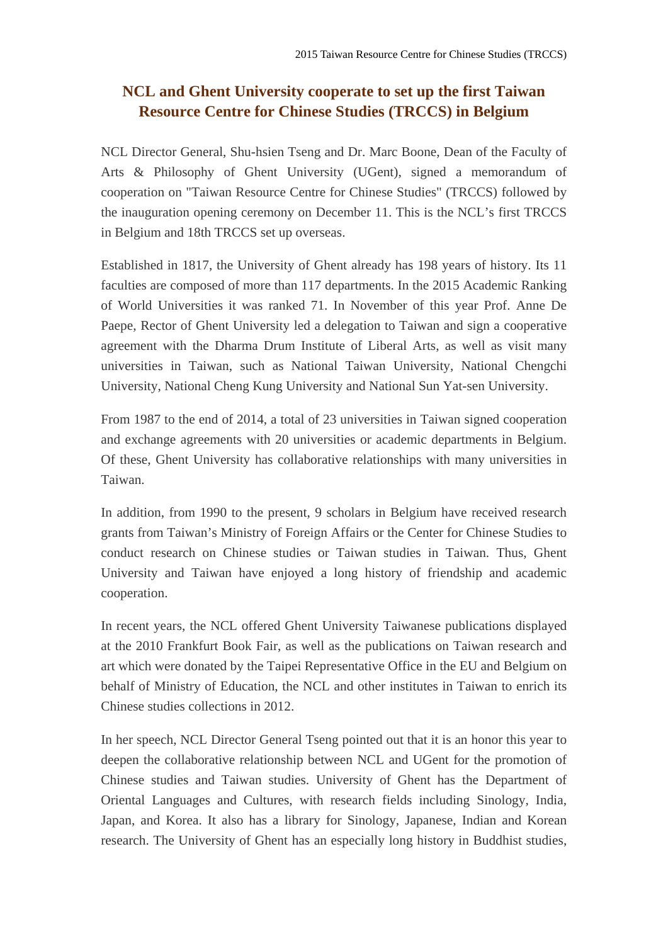## **NCL and Ghent University cooperate to set up the first Taiwan Resource Centre for Chinese Studies (TRCCS) in Belgium**

NCL Director General, Shu-hsien Tseng and Dr. Marc Boone, Dean of the Faculty of Arts & Philosophy of Ghent University (UGent), signed a memorandum of cooperation on "Taiwan Resource Centre for Chinese Studies" (TRCCS) followed by the inauguration opening ceremony on December 11. This is the NCL's first TRCCS in Belgium and 18th TRCCS set up overseas.

Established in 1817, the University of Ghent already has 198 years of history. Its 11 faculties are composed of more than 117 departments. In the 2015 Academic Ranking of World Universities it was ranked 71. In November of this year Prof. Anne De Paepe, Rector of Ghent University led a delegation to Taiwan and sign a cooperative agreement with the Dharma Drum Institute of Liberal Arts, as well as visit many universities in Taiwan, such as National Taiwan University, National Chengchi University, National Cheng Kung University and National Sun Yat-sen University.

From 1987 to the end of 2014, a total of 23 universities in Taiwan signed cooperation and exchange agreements with 20 universities or academic departments in Belgium. Of these, Ghent University has collaborative relationships with many universities in Taiwan.

In addition, from 1990 to the present, 9 scholars in Belgium have received research grants from Taiwan's Ministry of Foreign Affairs or the Center for Chinese Studies to conduct research on Chinese studies or Taiwan studies in Taiwan. Thus, Ghent University and Taiwan have enjoyed a long history of friendship and academic cooperation.

In recent years, the NCL offered Ghent University Taiwanese publications displayed at the 2010 Frankfurt Book Fair, as well as the publications on Taiwan research and art which were donated by the Taipei Representative Office in the EU and Belgium on behalf of Ministry of Education, the NCL and other institutes in Taiwan to enrich its Chinese studies collections in 2012.

In her speech, NCL Director General Tseng pointed out that it is an honor this year to deepen the collaborative relationship between NCL and UGent for the promotion of Chinese studies and Taiwan studies. University of Ghent has the Department of Oriental Languages and Cultures, with research fields including Sinology, India, Japan, and Korea. It also has a library for Sinology, Japanese, Indian and Korean research. The University of Ghent has an especially long history in Buddhist studies,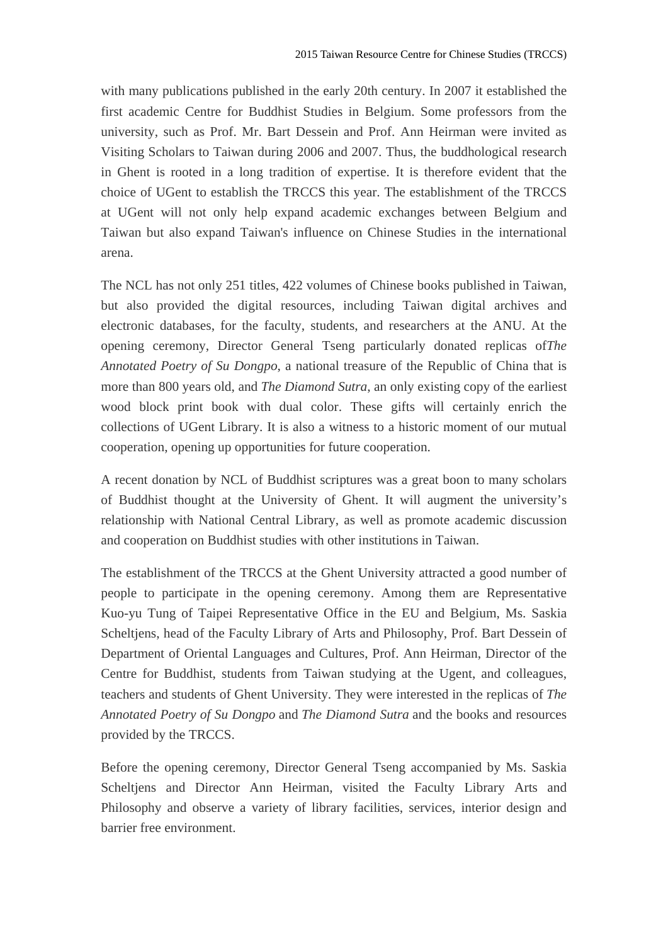with many publications published in the early 20th century. In 2007 it established the first academic Centre for Buddhist Studies in Belgium. Some professors from the university, such as Prof. Mr. Bart Dessein and Prof. Ann Heirman were invited as Visiting Scholars to Taiwan during 2006 and 2007. Thus, the buddhological research in Ghent is rooted in a long tradition of expertise. It is therefore evident that the choice of UGent to establish the TRCCS this year. The establishment of the TRCCS at UGent will not only help expand academic exchanges between Belgium and Taiwan but also expand Taiwan's influence on Chinese Studies in the international arena.

The NCL has not only 251 titles, 422 volumes of Chinese books published in Taiwan, but also provided the digital resources, including Taiwan digital archives and electronic databases, for the faculty, students, and researchers at the ANU. At the opening ceremony, Director General Tseng particularly donated replicas of*The Annotated Poetry of Su Dongpo*, a national treasure of the Republic of China that is more than 800 years old, and *The Diamond Sutra*, an only existing copy of the earliest wood block print book with dual color. These gifts will certainly enrich the collections of UGent Library. It is also a witness to a historic moment of our mutual cooperation, opening up opportunities for future cooperation.

A recent donation by NCL of Buddhist scriptures was a great boon to many scholars of Buddhist thought at the University of Ghent. It will augment the university's relationship with National Central Library, as well as promote academic discussion and cooperation on Buddhist studies with other institutions in Taiwan.

The establishment of the TRCCS at the Ghent University attracted a good number of people to participate in the opening ceremony. Among them are Representative Kuo-yu Tung of Taipei Representative Office in the EU and Belgium, Ms. Saskia Scheltjens, head of the Faculty Library of Arts and Philosophy, Prof. Bart Dessein of Department of Oriental Languages and Cultures, Prof. Ann Heirman, Director of the Centre for Buddhist, students from Taiwan studying at the Ugent, and colleagues, teachers and students of Ghent University. They were interested in the replicas of *The Annotated Poetry of Su Dongpo* and *The Diamond Sutra* and the books and resources provided by the TRCCS.

Before the opening ceremony, Director General Tseng accompanied by Ms. Saskia Scheltjens and Director Ann Heirman, visited the Faculty Library Arts and Philosophy and observe a variety of library facilities, services, interior design and barrier free environment.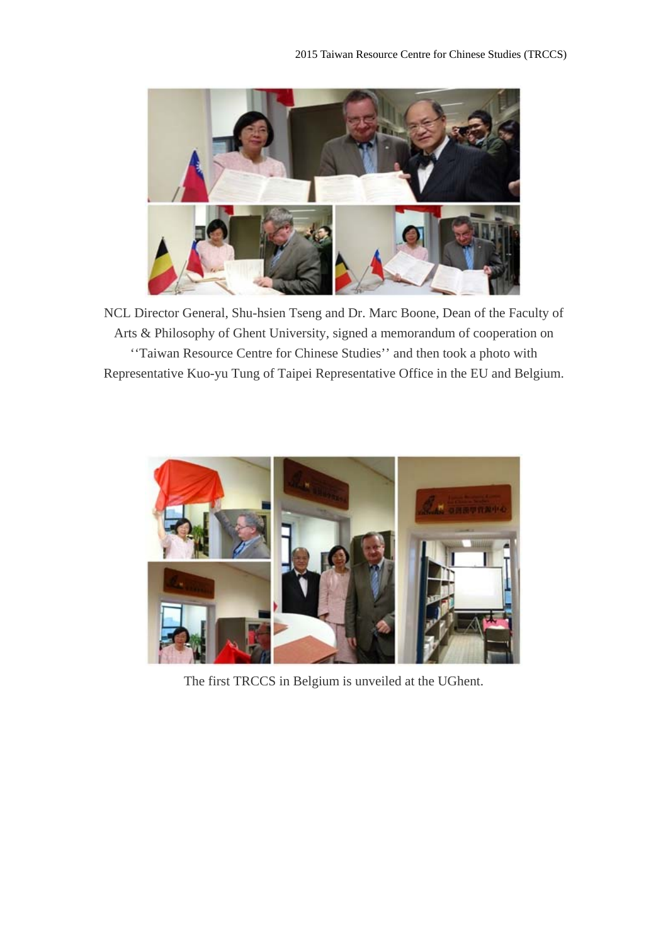

NCL Director General, Shu-hsien Tseng and Dr. Marc Boone, Dean of the Faculty of Arts & Philosophy of Ghent University, signed a memorandum of cooperation on ''Taiwan Resource Centre for Chinese Studies'' and then took a photo with Representative Kuo-yu Tung of Taipei Representative Office in the EU and Belgium.



The first TRCCS in Belgium is unveiled at the UGhent.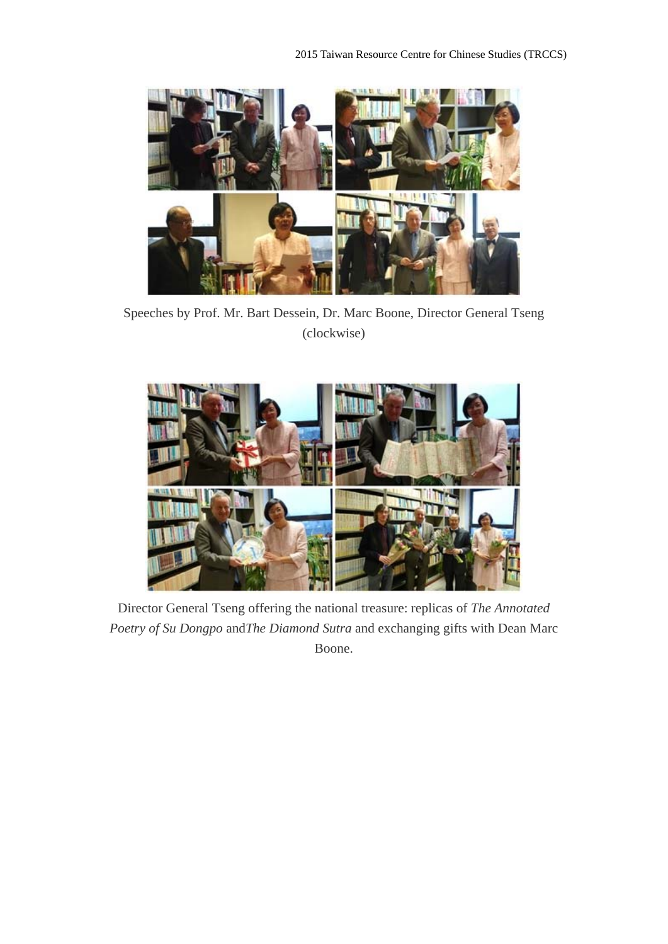

Speeches by Prof. Mr. Bart Dessein, Dr. Marc Boone, Director General Tseng (clockwise)



Director General Tseng offering the national treasure: replicas of *The Annotated Poetry of Su Dongpo* and*The Diamond Sutra* and exchanging gifts with Dean Marc Boone.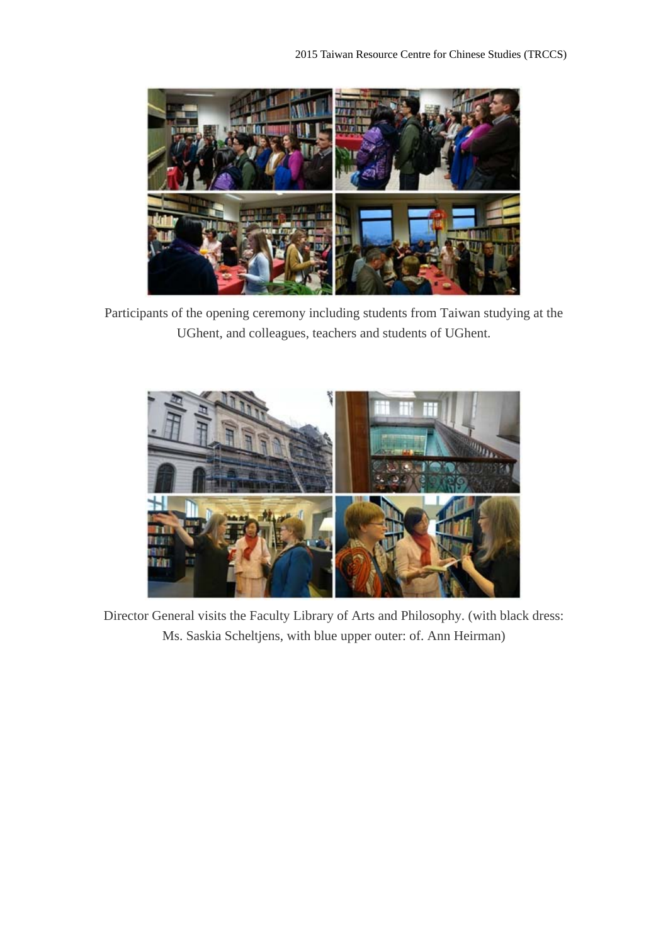

Participants of the opening ceremony including students from Taiwan studying at the UGhent, and colleagues, teachers and students of UGhent.



Director General visits the Faculty Library of Arts and Philosophy. (with black dress: Ms. Saskia Scheltjens, with blue upper outer: of. Ann Heirman)